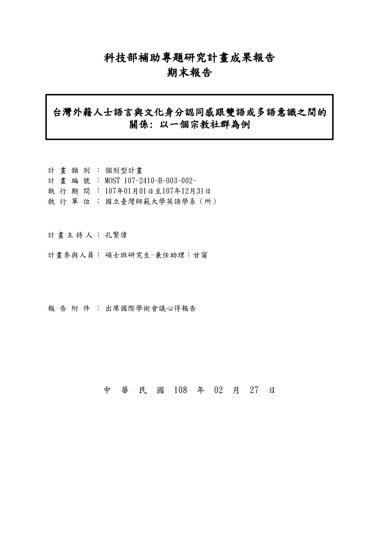## 科技部補助專題研究計畫成果報告

### 期末報告

## 台灣外籍人士語言與文化身分認同感跟雙語或多語意識之間的 關係: 以一個宗教社群為例

|  |  | 計畫類別:個別型計畫                      |
|--|--|---------------------------------|
|  |  | 計畫編號: MOST 107-2410-H-003-002-  |
|  |  | 執 行 期 間 : 107年01月01日至107年12月31日 |
|  |  | 執 行 單 位 : 國立臺灣師範大學英語學系(所)       |

計畫主持人: 孔繁偉

計畫參與人員: 碩士班研究生-兼任助理:甘甯

報告 附件: 出席國際學術會議心得報告

中 華 民 國 108 年 02 月 27 日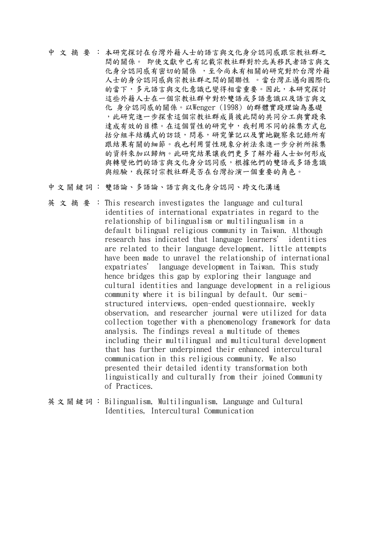- 中 文 摘 要 : 本研究探討在台灣外籍人士的語言與文化身分認同感跟宗教社群之 間的關係。 即使文獻中已有記載宗教社群對於北美移民者語言與文 化身分認同感有密切的關係 ,至今尚未有相關的研究對於台灣外籍 人士的身分認同感與宗教社群之間的關聯性 。當台灣正邁向國際化 的當下,多元語言與文化意識已變得相當重要。因此,本研究探討 這些外籍人士在一個宗教社群中對於雙語或多語意識以及語言與文 化 身分認同感的關係。以Wenger (1998) 的群體實踐理論為基礎 ,此研究進一步探索這個宗教社群成員彼此間的共同分工與實踐來 達成有效的目標。在這個質性的研究中,我利用不同的採集方式包 括分組半結構式的訪談,問卷,研究筆記以及實地觀察來記錄所有 跟結果有關的細節。我也利用質性現象分析法來進一步分析所採集 的資料來加以歸納。此研究結果讓我們更多了解外籍人士如何形成 與轉變他們的語言與文化身分認同感,根據他們的雙語或多語意識 與經驗,我探討宗教社群是否在台灣扮演一個重要的角色。
- 中文關鍵詞: 雙語論、多語論、語言與文化身分認同、跨文化溝通
- 英文摘要: This research investigates the language and cultural identities of international expatriates in regard to the relationship of bilingualism or multilingualism in a default bilingual religious community in Taiwan. Although research has indicated that language learners' identities are related to their language development, little attempts have been made to unravel the relationship of international expatriates' language development in Taiwan. This study hence bridges this gap by exploring their language and cultural identities and language development in a religious community where it is bilingual by default. Our semistructured interviews, open-ended questionnaire, weekly observation, and researcher journal were utilized for data collection together with a phenomenology framework for data analysis. The findings reveal a multitude of themes including their multilingual and multicultural development that has further underpinned their enhanced intercultural communication in this religious community. We also presented their detailed identity transformation both linguistically and culturally from their joined Community of Practices.
- 英文關鍵詞: Bilingualism, Multilingualism, Language and Cultural Identities, Intercultural Communication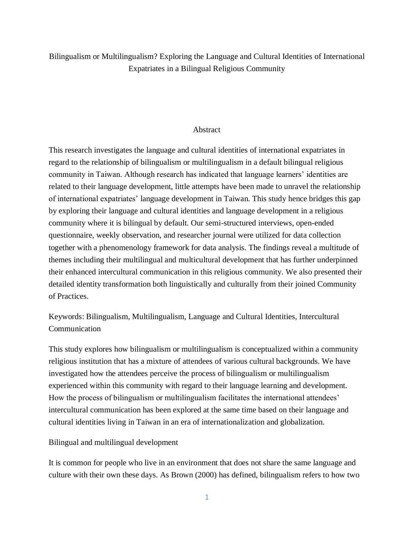#### Bilingualism or Multilingualism? Exploring the Language and Cultural Identities of International Expatriates in a Bilingual Religious Community

#### Abstract

This research investigates the language and cultural identities of international expatriates in regard to the relationship of bilingualism or multilingualism in a default bilingual religious community in Taiwan. Although research has indicated that language learners' identities are related to their language development, little attempts have been made to unravel the relationship of international expatriates' language development in Taiwan. This study hence bridges this gap by exploring their language and cultural identities and language development in a religious community where it is bilingual by default. Our semi-structured interviews, open-ended questionnaire, weekly observation, and researcher journal were utilized for data collection together with a phenomenology framework for data analysis. The findings reveal a multitude of themes including their multilingual and multicultural development that has further underpinned their enhanced intercultural communication in this religious community. We also presented their detailed identity transformation both linguistically and culturally from their joined Community of Practices.

Keywords: Bilingualism, Multilingualism, Language and Cultural Identities, Intercultural Communication

This study explores how bilingualism or multilingualism is conceptualized within a community religious institution that has a mixture of attendees of various cultural backgrounds. We have investigated how the attendees perceive the process of bilingualism or multilingualism experienced within this community with regard to their language learning and development. How the process of bilingualism or multilingualism facilitates the international attendees' intercultural communication has been explored at the same time based on their language and cultural identities living in Taiwan in an era of internationalization and globalization.

#### Bilingual and multilingual development

It is common for people who live in an environment that does not share the same language and culture with their own these days. As Brown (2000) has defined, bilingualism refers to how two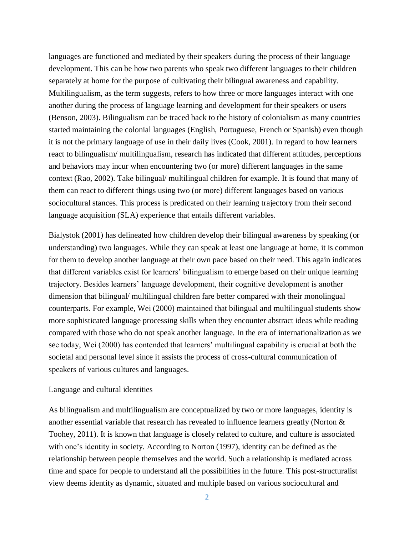languages are functioned and mediated by their speakers during the process of their language development. This can be how two parents who speak two different languages to their children separately at home for the purpose of cultivating their bilingual awareness and capability. Multilingualism, as the term suggests, refers to how three or more languages interact with one another during the process of language learning and development for their speakers or users (Benson, 2003). Bilingualism can be traced back to the history of colonialism as many countries started maintaining the colonial languages (English, Portuguese, French or Spanish) even though it is not the primary language of use in their daily lives (Cook, 2001). In regard to how learners react to bilingualism/ multilingualism, research has indicated that different attitudes, perceptions and behaviors may incur when encountering two (or more) different languages in the same context (Rao, 2002). Take bilingual/ multilingual children for example. It is found that many of them can react to different things using two (or more) different languages based on various sociocultural stances. This process is predicated on their learning trajectory from their second language acquisition (SLA) experience that entails different variables.

Bialystok (2001) has delineated how children develop their bilingual awareness by speaking (or understanding) two languages. While they can speak at least one language at home, it is common for them to develop another language at their own pace based on their need. This again indicates that different variables exist for learners' bilingualism to emerge based on their unique learning trajectory. Besides learners' language development, their cognitive development is another dimension that bilingual/ multilingual children fare better compared with their monolingual counterparts. For example, Wei (2000) maintained that bilingual and multilingual students show more sophisticated language processing skills when they encounter abstract ideas while reading compared with those who do not speak another language. In the era of internationalization as we see today, Wei (2000) has contended that learners' multilingual capability is crucial at both the societal and personal level since it assists the process of cross-cultural communication of speakers of various cultures and languages.

#### Language and cultural identities

As bilingualism and multilingualism are conceptualized by two or more languages, identity is another essential variable that research has revealed to influence learners greatly (Norton & Toohey, 2011). It is known that language is closely related to culture, and culture is associated with one's identity in society. According to Norton (1997), identity can be defined as the relationship between people themselves and the world. Such a relationship is mediated across time and space for people to understand all the possibilities in the future. This post-structuralist view deems identity as dynamic, situated and multiple based on various sociocultural and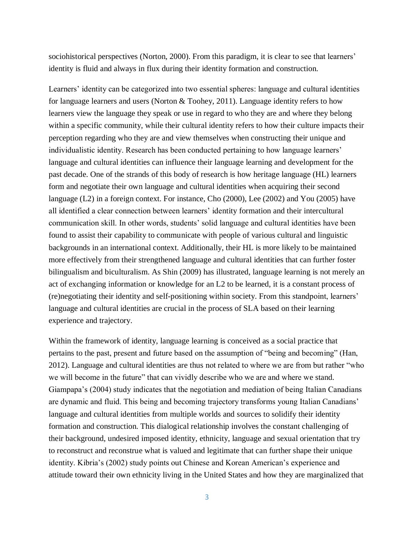sociohistorical perspectives (Norton, 2000). From this paradigm, it is clear to see that learners' identity is fluid and always in flux during their identity formation and construction.

Learners' identity can be categorized into two essential spheres: language and cultural identities for language learners and users (Norton & Toohey, 2011). Language identity refers to how learners view the language they speak or use in regard to who they are and where they belong within a specific community, while their cultural identity refers to how their culture impacts their perception regarding who they are and view themselves when constructing their unique and individualistic identity. Research has been conducted pertaining to how language learners' language and cultural identities can influence their language learning and development for the past decade. One of the strands of this body of research is how heritage language (HL) learners form and negotiate their own language and cultural identities when acquiring their second language (L2) in a foreign context. For instance, Cho (2000), Lee (2002) and You (2005) have all identified a clear connection between learners' identity formation and their intercultural communication skill. In other words, students' solid language and cultural identities have been found to assist their capability to communicate with people of various cultural and linguistic backgrounds in an international context. Additionally, their HL is more likely to be maintained more effectively from their strengthened language and cultural identities that can further foster bilingualism and biculturalism. As Shin (2009) has illustrated, language learning is not merely an act of exchanging information or knowledge for an L2 to be learned, it is a constant process of (re)negotiating their identity and self-positioning within society. From this standpoint, learners' language and cultural identities are crucial in the process of SLA based on their learning experience and trajectory.

Within the framework of identity, language learning is conceived as a social practice that pertains to the past, present and future based on the assumption of "being and becoming" (Han, 2012). Language and cultural identities are thus not related to where we are from but rather "who we will become in the future" that can vividly describe who we are and where we stand. Giampapa's (2004) study indicates that the negotiation and mediation of being Italian Canadians are dynamic and fluid. This being and becoming trajectory transforms young Italian Canadians' language and cultural identities from multiple worlds and sources to solidify their identity formation and construction. This dialogical relationship involves the constant challenging of their background, undesired imposed identity, ethnicity, language and sexual orientation that try to reconstruct and reconstrue what is valued and legitimate that can further shape their unique identity. Kibria's (2002) study points out Chinese and Korean American's experience and attitude toward their own ethnicity living in the United States and how they are marginalized that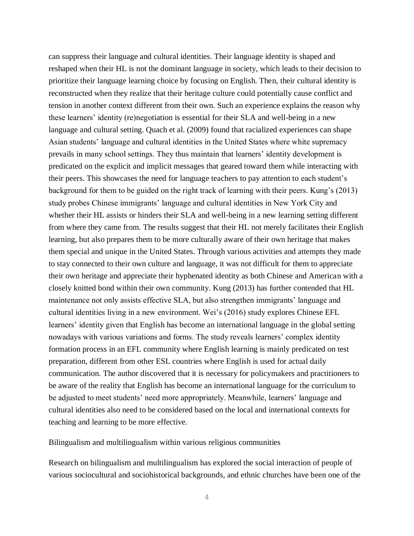can suppress their language and cultural identities. Their language identity is shaped and reshaped when their HL is not the dominant language in society, which leads to their decision to prioritize their language learning choice by focusing on English. Then, their cultural identity is reconstructed when they realize that their heritage culture could potentially cause conflict and tension in another context different from their own. Such an experience explains the reason why these learners' identity (re)negotiation is essential for their SLA and well-being in a new language and cultural setting. Quach et al. (2009) found that racialized experiences can shape Asian students' language and cultural identities in the United States where white supremacy prevails in many school settings. They thus maintain that learners' identity development is predicated on the explicit and implicit messages that geared toward them while interacting with their peers. This showcases the need for language teachers to pay attention to each student's background for them to be guided on the right track of learning with their peers. Kung's (2013) study probes Chinese immigrants' language and cultural identities in New York City and whether their HL assists or hinders their SLA and well-being in a new learning setting different from where they came from. The results suggest that their HL not merely facilitates their English learning, but also prepares them to be more culturally aware of their own heritage that makes them special and unique in the United States. Through various activities and attempts they made to stay connected to their own culture and language, it was not difficult for them to appreciate their own heritage and appreciate their hyphenated identity as both Chinese and American with a closely knitted bond within their own community. Kung (2013) has further contended that HL maintenance not only assists effective SLA, but also strengthen immigrants' language and cultural identities living in a new environment. Wei's (2016) study explores Chinese EFL learners' identity given that English has become an international language in the global setting nowadays with various variations and forms. The study reveals learners' complex identity formation process in an EFL community where English learning is mainly predicated on test preparation, different from other ESL countries where English is used for actual daily communication. The author discovered that it is necessary for policymakers and practitioners to be aware of the reality that English has become an international language for the curriculum to be adjusted to meet students' need more appropriately. Meanwhile, learners' language and cultural identities also need to be considered based on the local and international contexts for teaching and learning to be more effective.

Bilingualism and multilingualism within various religious communities

Research on bilingualism and multilingualism has explored the social interaction of people of various sociocultural and sociohistorical backgrounds, and ethnic churches have been one of the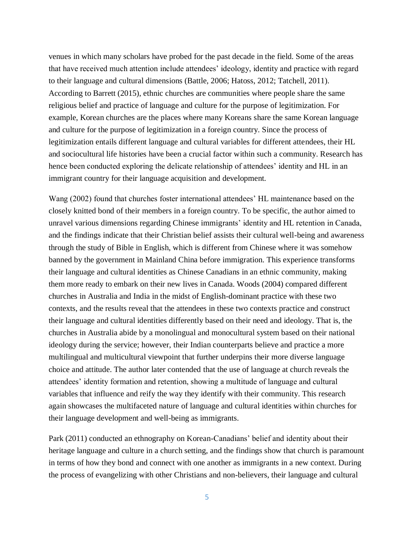venues in which many scholars have probed for the past decade in the field. Some of the areas that have received much attention include attendees' ideology, identity and practice with regard to their language and cultural dimensions (Battle, 2006; Hatoss, 2012; Tatchell, 2011). According to Barrett (2015), ethnic churches are communities where people share the same religious belief and practice of language and culture for the purpose of legitimization. For example, Korean churches are the places where many Koreans share the same Korean language and culture for the purpose of legitimization in a foreign country. Since the process of legitimization entails different language and cultural variables for different attendees, their HL and sociocultural life histories have been a crucial factor within such a community. Research has hence been conducted exploring the delicate relationship of attendees' identity and HL in an immigrant country for their language acquisition and development.

Wang (2002) found that churches foster international attendees' HL maintenance based on the closely knitted bond of their members in a foreign country. To be specific, the author aimed to unravel various dimensions regarding Chinese immigrants' identity and HL retention in Canada, and the findings indicate that their Christian belief assists their cultural well-being and awareness through the study of Bible in English, which is different from Chinese where it was somehow banned by the government in Mainland China before immigration. This experience transforms their language and cultural identities as Chinese Canadians in an ethnic community, making them more ready to embark on their new lives in Canada. Woods (2004) compared different churches in Australia and India in the midst of English-dominant practice with these two contexts, and the results reveal that the attendees in these two contexts practice and construct their language and cultural identities differently based on their need and ideology. That is, the churches in Australia abide by a monolingual and monocultural system based on their national ideology during the service; however, their Indian counterparts believe and practice a more multilingual and multicultural viewpoint that further underpins their more diverse language choice and attitude. The author later contended that the use of language at church reveals the attendees' identity formation and retention, showing a multitude of language and cultural variables that influence and reify the way they identify with their community. This research again showcases the multifaceted nature of language and cultural identities within churches for their language development and well-being as immigrants.

Park (2011) conducted an ethnography on Korean-Canadians' belief and identity about their heritage language and culture in a church setting, and the findings show that church is paramount in terms of how they bond and connect with one another as immigrants in a new context. During the process of evangelizing with other Christians and non-believers, their language and cultural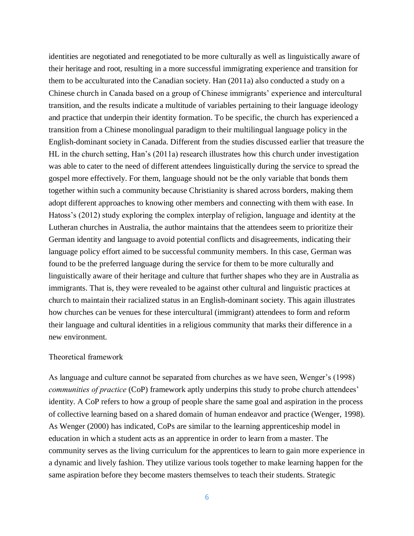identities are negotiated and renegotiated to be more culturally as well as linguistically aware of their heritage and root, resulting in a more successful immigrating experience and transition for them to be acculturated into the Canadian society. Han (2011a) also conducted a study on a Chinese church in Canada based on a group of Chinese immigrants' experience and intercultural transition, and the results indicate a multitude of variables pertaining to their language ideology and practice that underpin their identity formation. To be specific, the church has experienced a transition from a Chinese monolingual paradigm to their multilingual language policy in the English-dominant society in Canada. Different from the studies discussed earlier that treasure the HL in the church setting, Han's (2011a) research illustrates how this church under investigation was able to cater to the need of different attendees linguistically during the service to spread the gospel more effectively. For them, language should not be the only variable that bonds them together within such a community because Christianity is shared across borders, making them adopt different approaches to knowing other members and connecting with them with ease. In Hatoss's (2012) study exploring the complex interplay of religion, language and identity at the Lutheran churches in Australia, the author maintains that the attendees seem to prioritize their German identity and language to avoid potential conflicts and disagreements, indicating their language policy effort aimed to be successful community members. In this case, German was found to be the preferred language during the service for them to be more culturally and linguistically aware of their heritage and culture that further shapes who they are in Australia as immigrants. That is, they were revealed to be against other cultural and linguistic practices at church to maintain their racialized status in an English-dominant society. This again illustrates how churches can be venues for these intercultural (immigrant) attendees to form and reform their language and cultural identities in a religious community that marks their difference in a new environment.

#### Theoretical framework

As language and culture cannot be separated from churches as we have seen, Wenger's (1998) *communities of practice* (CoP) framework aptly underpins this study to probe church attendees' identity. A CoP refers to how a group of people share the same goal and aspiration in the process of collective learning based on a shared domain of human endeavor and practice (Wenger, 1998). As Wenger (2000) has indicated, CoPs are similar to the learning apprenticeship model in education in which a student acts as an apprentice in order to learn from a master. The community serves as the living curriculum for the apprentices to learn to gain more experience in a dynamic and lively fashion. They utilize various tools together to make learning happen for the same aspiration before they become masters themselves to teach their students. Strategic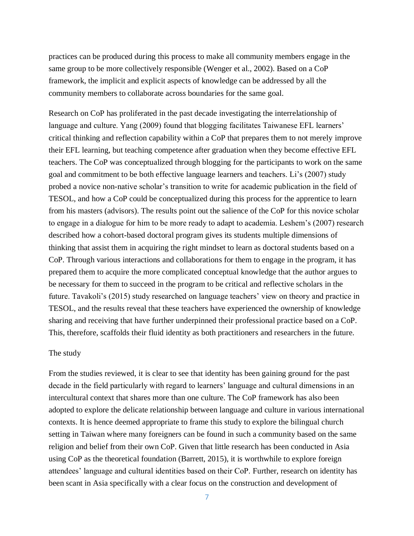practices can be produced during this process to make all community members engage in the same group to be more collectively responsible (Wenger et al., 2002). Based on a CoP framework, the implicit and explicit aspects of knowledge can be addressed by all the community members to collaborate across boundaries for the same goal.

Research on CoP has proliferated in the past decade investigating the interrelationship of language and culture. Yang (2009) found that blogging facilitates Taiwanese EFL learners' critical thinking and reflection capability within a CoP that prepares them to not merely improve their EFL learning, but teaching competence after graduation when they become effective EFL teachers. The CoP was conceptualized through blogging for the participants to work on the same goal and commitment to be both effective language learners and teachers. Li's (2007) study probed a novice non-native scholar's transition to write for academic publication in the field of TESOL, and how a CoP could be conceptualized during this process for the apprentice to learn from his masters (advisors). The results point out the salience of the CoP for this novice scholar to engage in a dialogue for him to be more ready to adapt to academia. Leshem's (2007) research described how a cohort-based doctoral program gives its students multiple dimensions of thinking that assist them in acquiring the right mindset to learn as doctoral students based on a CoP. Through various interactions and collaborations for them to engage in the program, it has prepared them to acquire the more complicated conceptual knowledge that the author argues to be necessary for them to succeed in the program to be critical and reflective scholars in the future. Tavakoli's (2015) study researched on language teachers' view on theory and practice in TESOL, and the results reveal that these teachers have experienced the ownership of knowledge sharing and receiving that have further underpinned their professional practice based on a CoP. This, therefore, scaffolds their fluid identity as both practitioners and researchers in the future.

#### The study

From the studies reviewed, it is clear to see that identity has been gaining ground for the past decade in the field particularly with regard to learners' language and cultural dimensions in an intercultural context that shares more than one culture. The CoP framework has also been adopted to explore the delicate relationship between language and culture in various international contexts. It is hence deemed appropriate to frame this study to explore the bilingual church setting in Taiwan where many foreigners can be found in such a community based on the same religion and belief from their own CoP. Given that little research has been conducted in Asia using CoP as the theoretical foundation (Barrett, 2015), it is worthwhile to explore foreign attendees' language and cultural identities based on their CoP. Further, research on identity has been scant in Asia specifically with a clear focus on the construction and development of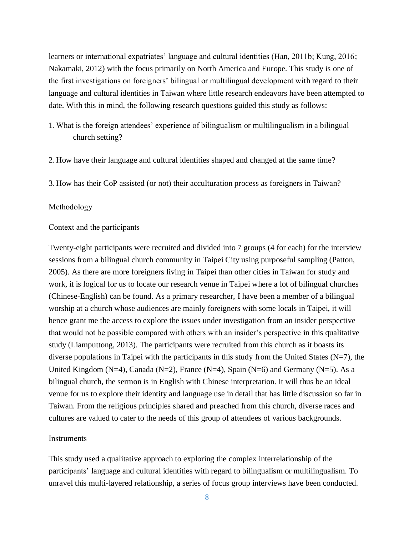learners or international expatriates' language and cultural identities (Han, 2011b; Kung, 2016; Nakamaki, 2012) with the focus primarily on North America and Europe. This study is one of the first investigations on foreigners' bilingual or multilingual development with regard to their language and cultural identities in Taiwan where little research endeavors have been attempted to date. With this in mind, the following research questions guided this study as follows:

- 1. What is the foreign attendees' experience of bilingualism or multilingualism in a bilingual church setting?
- 2. How have their language and cultural identities shaped and changed at the same time?
- 3. How has their CoP assisted (or not) their acculturation process as foreigners in Taiwan?

#### Methodology

#### Context and the participants

Twenty-eight participants were recruited and divided into 7 groups (4 for each) for the interview sessions from a bilingual church community in Taipei City using purposeful sampling (Patton, 2005). As there are more foreigners living in Taipei than other cities in Taiwan for study and work, it is logical for us to locate our research venue in Taipei where a lot of bilingual churches (Chinese-English) can be found. As a primary researcher, I have been a member of a bilingual worship at a church whose audiences are mainly foreigners with some locals in Taipei, it will hence grant me the access to explore the issues under investigation from an insider perspective that would not be possible compared with others with an insider's perspective in this qualitative study (Liamputtong, 2013). The participants were recruited from this church as it boasts its diverse populations in Taipei with the participants in this study from the United States  $(N=7)$ , the United Kingdom ( $N=4$ ), Canada ( $N=2$ ), France ( $N=4$ ), Spain ( $N=6$ ) and Germany ( $N=5$ ). As a bilingual church, the sermon is in English with Chinese interpretation. It will thus be an ideal venue for us to explore their identity and language use in detail that has little discussion so far in Taiwan. From the religious principles shared and preached from this church, diverse races and cultures are valued to cater to the needs of this group of attendees of various backgrounds.

#### **Instruments**

This study used a qualitative approach to exploring the complex interrelationship of the participants' language and cultural identities with regard to bilingualism or multilingualism. To unravel this multi-layered relationship, a series of focus group interviews have been conducted.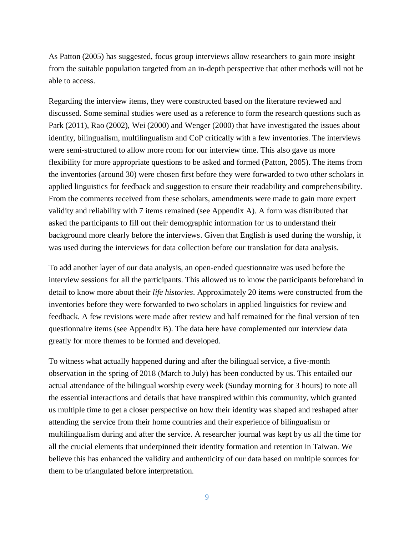As Patton (2005) has suggested, focus group interviews allow researchers to gain more insight from the suitable population targeted from an in-depth perspective that other methods will not be able to access.

Regarding the interview items, they were constructed based on the literature reviewed and discussed. Some seminal studies were used as a reference to form the research questions such as Park (2011), Rao (2002), Wei (2000) and Wenger (2000) that have investigated the issues about identity, bilingualism, multilingualism and CoP critically with a few inventories. The interviews were semi-structured to allow more room for our interview time. This also gave us more flexibility for more appropriate questions to be asked and formed (Patton, 2005). The items from the inventories (around 30) were chosen first before they were forwarded to two other scholars in applied linguistics for feedback and suggestion to ensure their readability and comprehensibility. From the comments received from these scholars, amendments were made to gain more expert validity and reliability with 7 items remained (see Appendix A). A form was distributed that asked the participants to fill out their demographic information for us to understand their background more clearly before the interviews. Given that English is used during the worship, it was used during the interviews for data collection before our translation for data analysis.

To add another layer of our data analysis, an open-ended questionnaire was used before the interview sessions for all the participants. This allowed us to know the participants beforehand in detail to know more about their *life histories*. Approximately 20 items were constructed from the inventories before they were forwarded to two scholars in applied linguistics for review and feedback. A few revisions were made after review and half remained for the final version of ten questionnaire items (see Appendix B). The data here have complemented our interview data greatly for more themes to be formed and developed.

To witness what actually happened during and after the bilingual service, a five-month observation in the spring of 2018 (March to July) has been conducted by us. This entailed our actual attendance of the bilingual worship every week (Sunday morning for 3 hours) to note all the essential interactions and details that have transpired within this community, which granted us multiple time to get a closer perspective on how their identity was shaped and reshaped after attending the service from their home countries and their experience of bilingualism or multilingualism during and after the service. A researcher journal was kept by us all the time for all the crucial elements that underpinned their identity formation and retention in Taiwan. We believe this has enhanced the validity and authenticity of our data based on multiple sources for them to be triangulated before interpretation.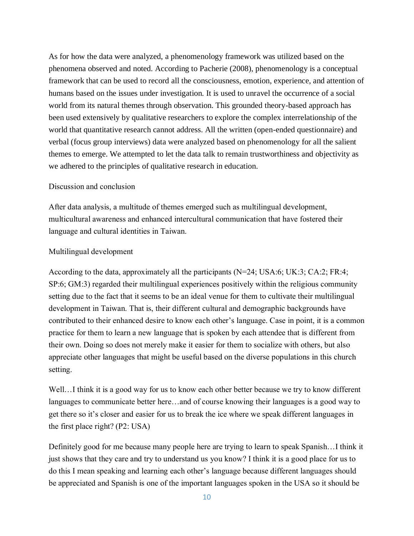As for how the data were analyzed, a phenomenology framework was utilized based on the phenomena observed and noted. According to Pacherie (2008), phenomenology is a conceptual framework that can be used to record all the consciousness, emotion, experience, and attention of humans based on the issues under investigation. It is used to unravel the occurrence of a social world from its natural themes through observation. This grounded theory-based approach has been used extensively by qualitative researchers to explore the complex interrelationship of the world that quantitative research cannot address. All the written (open-ended questionnaire) and verbal (focus group interviews) data were analyzed based on phenomenology for all the salient themes to emerge. We attempted to let the data talk to remain trustworthiness and objectivity as we adhered to the principles of qualitative research in education.

#### Discussion and conclusion

After data analysis, a multitude of themes emerged such as multilingual development, multicultural awareness and enhanced intercultural communication that have fostered their language and cultural identities in Taiwan.

#### Multilingual development

According to the data, approximately all the participants  $(N=24; USA:6; UK:3; CA:2; FR:4;$ SP:6; GM:3) regarded their multilingual experiences positively within the religious community setting due to the fact that it seems to be an ideal venue for them to cultivate their multilingual development in Taiwan. That is, their different cultural and demographic backgrounds have contributed to their enhanced desire to know each other's language. Case in point, it is a common practice for them to learn a new language that is spoken by each attendee that is different from their own. Doing so does not merely make it easier for them to socialize with others, but also appreciate other languages that might be useful based on the diverse populations in this church setting.

Well...I think it is a good way for us to know each other better because we try to know different languages to communicate better here…and of course knowing their languages is a good way to get there so it's closer and easier for us to break the ice where we speak different languages in the first place right? (P2: USA)

Definitely good for me because many people here are trying to learn to speak Spanish…I think it just shows that they care and try to understand us you know? I think it is a good place for us to do this I mean speaking and learning each other's language because different languages should be appreciated and Spanish is one of the important languages spoken in the USA so it should be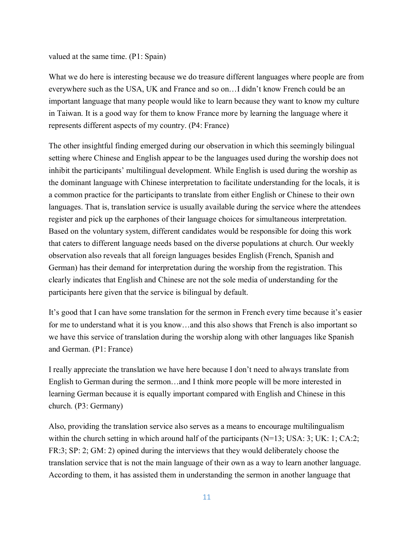valued at the same time. (P1: Spain)

What we do here is interesting because we do treasure different languages where people are from everywhere such as the USA, UK and France and so on…I didn't know French could be an important language that many people would like to learn because they want to know my culture in Taiwan. It is a good way for them to know France more by learning the language where it represents different aspects of my country. (P4: France)

The other insightful finding emerged during our observation in which this seemingly bilingual setting where Chinese and English appear to be the languages used during the worship does not inhibit the participants' multilingual development. While English is used during the worship as the dominant language with Chinese interpretation to facilitate understanding for the locals, it is a common practice for the participants to translate from either English or Chinese to their own languages. That is, translation service is usually available during the service where the attendees register and pick up the earphones of their language choices for simultaneous interpretation. Based on the voluntary system, different candidates would be responsible for doing this work that caters to different language needs based on the diverse populations at church. Our weekly observation also reveals that all foreign languages besides English (French, Spanish and German) has their demand for interpretation during the worship from the registration. This clearly indicates that English and Chinese are not the sole media of understanding for the participants here given that the service is bilingual by default.

It's good that I can have some translation for the sermon in French every time because it's easier for me to understand what it is you know...and this also shows that French is also important so we have this service of translation during the worship along with other languages like Spanish and German. (P1: France)

I really appreciate the translation we have here because I don't need to always translate from English to German during the sermon…and I think more people will be more interested in learning German because it is equally important compared with English and Chinese in this church. (P3: Germany)

Also, providing the translation service also serves as a means to encourage multilingualism within the church setting in which around half of the participants (N=13; USA: 3; UK: 1; CA:2; FR:3; SP: 2; GM: 2) opined during the interviews that they would deliberately choose the translation service that is not the main language of their own as a way to learn another language. According to them, it has assisted them in understanding the sermon in another language that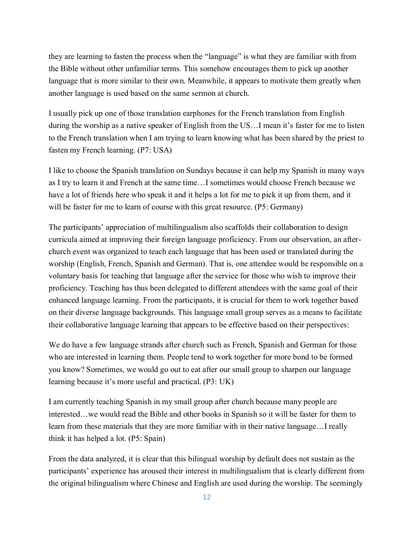they are learning to fasten the process when the "language" is what they are familiar with from the Bible without other unfamiliar terms. This somehow encourages them to pick up another language that is more similar to their own. Meanwhile, it appears to motivate them greatly when another language is used based on the same sermon at church.

I usually pick up one of those translation earphones for the French translation from English during the worship as a native speaker of English from the US…I mean it's faster for me to listen to the French translation when I am trying to learn knowing what has been shared by the priest to fasten my French learning. (P7: USA)

I like to choose the Spanish translation on Sundays because it can help my Spanish in many ways as I try to learn it and French at the same time…I sometimes would choose French because we have a lot of friends here who speak it and it helps a lot for me to pick it up from them, and it will be faster for me to learn of course with this great resource. (P5: Germany)

The participants' appreciation of multilingualism also scaffolds their collaboration to design curricula aimed at improving their foreign language proficiency. From our observation, an afterchurch event was organized to teach each language that has been used or translated during the worship (English, French, Spanish and German). That is, one attendee would be responsible on a voluntary basis for teaching that language after the service for those who wish to improve their proficiency. Teaching has thus been delegated to different attendees with the same goal of their enhanced language learning. From the participants, it is crucial for them to work together based on their diverse language backgrounds. This language small group serves as a means to facilitate their collaborative language learning that appears to be effective based on their perspectives:

We do have a few language strands after church such as French, Spanish and German for those who are interested in learning them. People tend to work together for more bond to be formed you know? Sometimes, we would go out to eat after our small group to sharpen our language learning because it's more useful and practical. (P3: UK)

I am currently teaching Spanish in my small group after church because many people are interested…we would read the Bible and other books in Spanish so it will be faster for them to learn from these materials that they are more familiar with in their native language…I really think it has helped a lot. (P5: Spain)

From the data analyzed, it is clear that this bilingual worship by default does not sustain as the participants' experience has aroused their interest in multilingualism that is clearly different from the original bilingualism where Chinese and English are used during the worship. The seemingly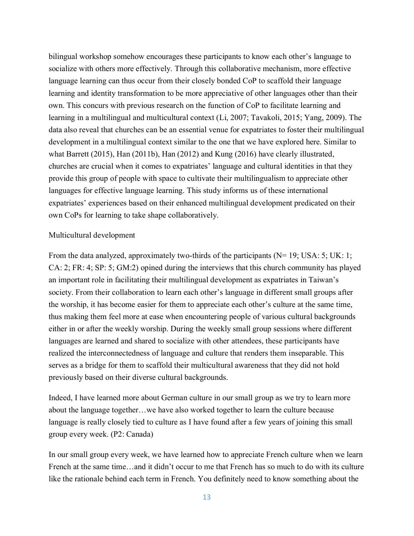bilingual workshop somehow encourages these participants to know each other's language to socialize with others more effectively. Through this collaborative mechanism, more effective language learning can thus occur from their closely bonded CoP to scaffold their language learning and identity transformation to be more appreciative of other languages other than their own. This concurs with previous research on the function of CoP to facilitate learning and learning in a multilingual and multicultural context (Li, 2007; Tavakoli, 2015; Yang, 2009). The data also reveal that churches can be an essential venue for expatriates to foster their multilingual development in a multilingual context similar to the one that we have explored here. Similar to what Barrett (2015), Han (2011b), Han (2012) and Kung (2016) have clearly illustrated, churches are crucial when it comes to expatriates' language and cultural identities in that they provide this group of people with space to cultivate their multilingualism to appreciate other languages for effective language learning. This study informs us of these international expatriates' experiences based on their enhanced multilingual development predicated on their own CoPs for learning to take shape collaboratively.

#### Multicultural development

From the data analyzed, approximately two-thirds of the participants (N= 19; USA: 5; UK: 1; CA: 2; FR: 4; SP: 5; GM:2) opined during the interviews that this church community has played an important role in facilitating their multilingual development as expatriates in Taiwan's society. From their collaboration to learn each other's language in different small groups after the worship, it has become easier for them to appreciate each other's culture at the same time, thus making them feel more at ease when encountering people of various cultural backgrounds either in or after the weekly worship. During the weekly small group sessions where different languages are learned and shared to socialize with other attendees, these participants have realized the interconnectedness of language and culture that renders them inseparable. This serves as a bridge for them to scaffold their multicultural awareness that they did not hold previously based on their diverse cultural backgrounds.

Indeed, I have learned more about German culture in our small group as we try to learn more about the language together…we have also worked together to learn the culture because language is really closely tied to culture as I have found after a few years of joining this small group every week. (P2: Canada)

In our small group every week, we have learned how to appreciate French culture when we learn French at the same time…and it didn't occur to me that French has so much to do with its culture like the rationale behind each term in French. You definitely need to know something about the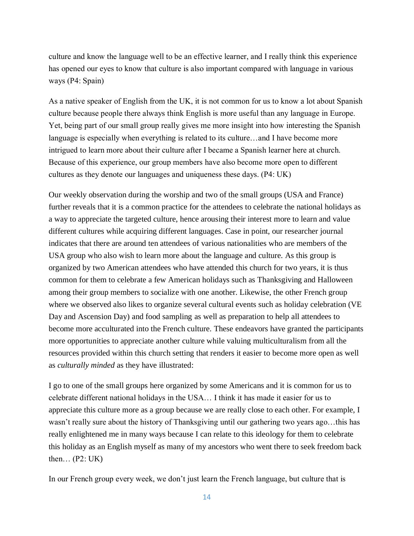culture and know the language well to be an effective learner, and I really think this experience has opened our eyes to know that culture is also important compared with language in various ways (P4: Spain)

As a native speaker of English from the UK, it is not common for us to know a lot about Spanish culture because people there always think English is more useful than any language in Europe. Yet, being part of our small group really gives me more insight into how interesting the Spanish language is especially when everything is related to its culture…and I have become more intrigued to learn more about their culture after I became a Spanish learner here at church. Because of this experience, our group members have also become more open to different cultures as they denote our languages and uniqueness these days. (P4: UK)

Our weekly observation during the worship and two of the small groups (USA and France) further reveals that it is a common practice for the attendees to celebrate the national holidays as a way to appreciate the targeted culture, hence arousing their interest more to learn and value different cultures while acquiring different languages. Case in point, our researcher journal indicates that there are around ten attendees of various nationalities who are members of the USA group who also wish to learn more about the language and culture. As this group is organized by two American attendees who have attended this church for two years, it is thus common for them to celebrate a few American holidays such as Thanksgiving and Halloween among their group members to socialize with one another. Likewise, the other French group where we observed also likes to organize several cultural events such as holiday celebration (VE Day and Ascension Day) and food sampling as well as preparation to help all attendees to become more acculturated into the French culture. These endeavors have granted the participants more opportunities to appreciate another culture while valuing multiculturalism from all the resources provided within this church setting that renders it easier to become more open as well as *culturally minded* as they have illustrated:

I go to one of the small groups here organized by some Americans and it is common for us to celebrate different national holidays in the USA… I think it has made it easier for us to appreciate this culture more as a group because we are really close to each other. For example, I wasn't really sure about the history of Thanksgiving until our gathering two years ago…this has really enlightened me in many ways because I can relate to this ideology for them to celebrate this holiday as an English myself as many of my ancestors who went there to seek freedom back then...  $(P2: UK)$ 

In our French group every week, we don't just learn the French language, but culture that is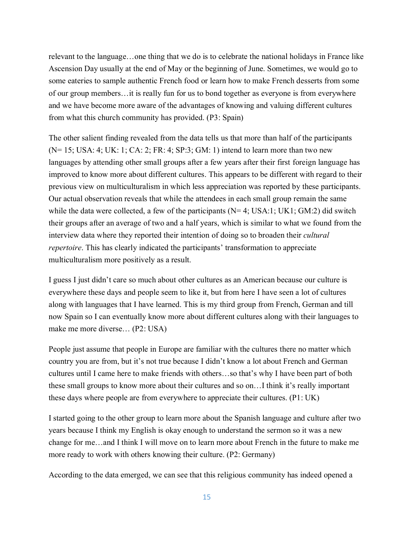relevant to the language…one thing that we do is to celebrate the national holidays in France like Ascension Day usually at the end of May or the beginning of June. Sometimes, we would go to some eateries to sample authentic French food or learn how to make French desserts from some of our group members…it is really fun for us to bond together as everyone is from everywhere and we have become more aware of the advantages of knowing and valuing different cultures from what this church community has provided. (P3: Spain)

The other salient finding revealed from the data tells us that more than half of the participants (N= 15; USA: 4; UK: 1; CA: 2; FR: 4; SP:3; GM: 1) intend to learn more than two new languages by attending other small groups after a few years after their first foreign language has improved to know more about different cultures. This appears to be different with regard to their previous view on multiculturalism in which less appreciation was reported by these participants. Our actual observation reveals that while the attendees in each small group remain the same while the data were collected, a few of the participants  $(N= 4; USA:1; UK1; GM:2)$  did switch their groups after an average of two and a half years, which is similar to what we found from the interview data where they reported their intention of doing so to broaden their *cultural repertoire*. This has clearly indicated the participants' transformation to appreciate multiculturalism more positively as a result.

I guess I just didn't care so much about other cultures as an American because our culture is everywhere these days and people seem to like it, but from here I have seen a lot of cultures along with languages that I have learned. This is my third group from French, German and till now Spain so I can eventually know more about different cultures along with their languages to make me more diverse… (P2: USA)

People just assume that people in Europe are familiar with the cultures there no matter which country you are from, but it's not true because I didn't know a lot about French and German cultures until I came here to make friends with others…so that's why I have been part of both these small groups to know more about their cultures and so on…I think it's really important these days where people are from everywhere to appreciate their cultures. (P1: UK)

I started going to the other group to learn more about the Spanish language and culture after two years because I think my English is okay enough to understand the sermon so it was a new change for me…and I think I will move on to learn more about French in the future to make me more ready to work with others knowing their culture. (P2: Germany)

According to the data emerged, we can see that this religious community has indeed opened a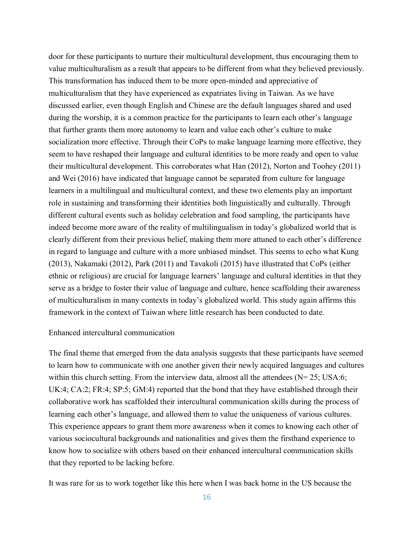door for these participants to nurture their multicultural development, thus encouraging them to value multiculturalism as a result that appears to be different from what they believed previously. This transformation has induced them to be more open-minded and appreciative of multiculturalism that they have experienced as expatriates living in Taiwan. As we have discussed earlier, even though English and Chinese are the default languages shared and used during the worship, it is a common practice for the participants to learn each other's language that further grants them more autonomy to learn and value each other's culture to make socialization more effective. Through their CoPs to make language learning more effective, they seem to have reshaped their language and cultural identities to be more ready and open to value their multicultural development. This corroborates what Han (2012), Norton and Toohey (2011) and Wei (2016) have indicated that language cannot be separated from culture for language learners in a multilingual and multicultural context, and these two elements play an important role in sustaining and transforming their identities both linguistically and culturally. Through different cultural events such as holiday celebration and food sampling, the participants have indeed become more aware of the reality of multilingualism in today's globalized world that is clearly different from their previous belief, making them more attuned to each other's difference in regard to language and culture with a more unbiased mindset. This seems to echo what Kung (2013), Nakamaki (2012), Park (2011) and Tavakoli (2015) have illustrated that CoPs (either ethnic or religious) are crucial for language learners' language and cultural identities in that they serve as a bridge to foster their value of language and culture, hence scaffolding their awareness of multiculturalism in many contexts in today's globalized world. This study again affirms this framework in the context of Taiwan where little research has been conducted to date.

#### Enhanced intercultural communication

The final theme that emerged from the data analysis suggests that these participants have seemed to learn how to communicate with one another given their newly acquired languages and cultures within this church setting. From the interview data, almost all the attendees  $(N= 25; USA:6;$ UK:4; CA:2; FR:4; SP:5; GM:4) reported that the bond that they have established through their collaborative work has scaffolded their intercultural communication skills during the process of learning each other's language, and allowed them to value the uniqueness of various cultures. This experience appears to grant them more awareness when it comes to knowing each other of various sociocultural backgrounds and nationalities and gives them the firsthand experience to know how to socialize with others based on their enhanced intercultural communication skills that they reported to be lacking before.

It was rare for us to work together like this here when I was back home in the US because the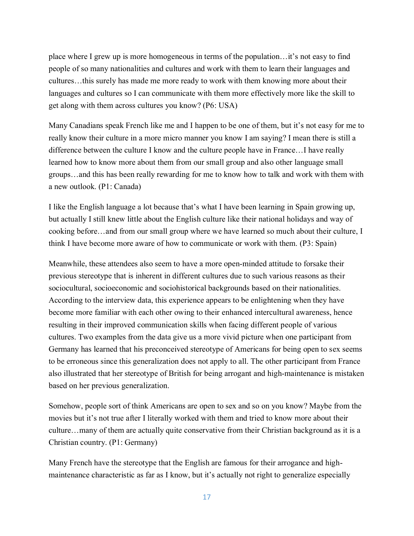place where I grew up is more homogeneous in terms of the population…it's not easy to find people of so many nationalities and cultures and work with them to learn their languages and cultures…this surely has made me more ready to work with them knowing more about their languages and cultures so I can communicate with them more effectively more like the skill to get along with them across cultures you know? (P6: USA)

Many Canadians speak French like me and I happen to be one of them, but it's not easy for me to really know their culture in a more micro manner you know I am saying? I mean there is still a difference between the culture I know and the culture people have in France…I have really learned how to know more about them from our small group and also other language small groups…and this has been really rewarding for me to know how to talk and work with them with a new outlook. (P1: Canada)

I like the English language a lot because that's what I have been learning in Spain growing up, but actually I still knew little about the English culture like their national holidays and way of cooking before…and from our small group where we have learned so much about their culture, I think I have become more aware of how to communicate or work with them. (P3: Spain)

Meanwhile, these attendees also seem to have a more open-minded attitude to forsake their previous stereotype that is inherent in different cultures due to such various reasons as their sociocultural, socioeconomic and sociohistorical backgrounds based on their nationalities. According to the interview data, this experience appears to be enlightening when they have become more familiar with each other owing to their enhanced intercultural awareness, hence resulting in their improved communication skills when facing different people of various cultures. Two examples from the data give us a more vivid picture when one participant from Germany has learned that his preconceived stereotype of Americans for being open to sex seems to be erroneous since this generalization does not apply to all. The other participant from France also illustrated that her stereotype of British for being arrogant and high-maintenance is mistaken based on her previous generalization.

Somehow, people sort of think Americans are open to sex and so on you know? Maybe from the movies but it's not true after I literally worked with them and tried to know more about their culture…many of them are actually quite conservative from their Christian background as it is a Christian country. (P1: Germany)

Many French have the stereotype that the English are famous for their arrogance and highmaintenance characteristic as far as I know, but it's actually not right to generalize especially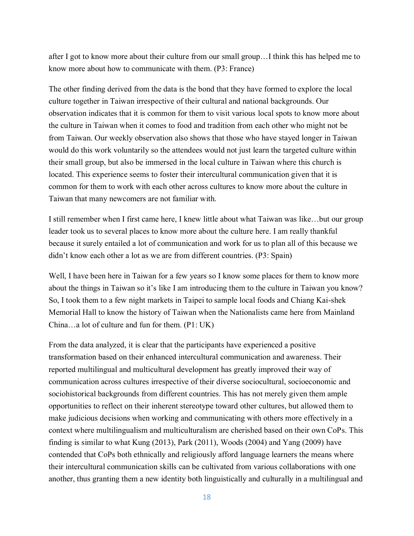after I got to know more about their culture from our small group…I think this has helped me to know more about how to communicate with them. (P3: France)

The other finding derived from the data is the bond that they have formed to explore the local culture together in Taiwan irrespective of their cultural and national backgrounds. Our observation indicates that it is common for them to visit various local spots to know more about the culture in Taiwan when it comes to food and tradition from each other who might not be from Taiwan. Our weekly observation also shows that those who have stayed longer in Taiwan would do this work voluntarily so the attendees would not just learn the targeted culture within their small group, but also be immersed in the local culture in Taiwan where this church is located. This experience seems to foster their intercultural communication given that it is common for them to work with each other across cultures to know more about the culture in Taiwan that many newcomers are not familiar with.

I still remember when I first came here, I knew little about what Taiwan was like…but our group leader took us to several places to know more about the culture here. I am really thankful because it surely entailed a lot of communication and work for us to plan all of this because we didn't know each other a lot as we are from different countries. (P3: Spain)

Well, I have been here in Taiwan for a few years so I know some places for them to know more about the things in Taiwan so it's like I am introducing them to the culture in Taiwan you know? So, I took them to a few night markets in Taipei to sample local foods and Chiang Kai-shek Memorial Hall to know the history of Taiwan when the Nationalists came here from Mainland China…a lot of culture and fun for them. (P1: UK)

From the data analyzed, it is clear that the participants have experienced a positive transformation based on their enhanced intercultural communication and awareness. Their reported multilingual and multicultural development has greatly improved their way of communication across cultures irrespective of their diverse sociocultural, socioeconomic and sociohistorical backgrounds from different countries. This has not merely given them ample opportunities to reflect on their inherent stereotype toward other cultures, but allowed them to make judicious decisions when working and communicating with others more effectively in a context where multilingualism and multiculturalism are cherished based on their own CoPs. This finding is similar to what Kung (2013), Park (2011), Woods (2004) and Yang (2009) have contended that CoPs both ethnically and religiously afford language learners the means where their intercultural communication skills can be cultivated from various collaborations with one another, thus granting them a new identity both linguistically and culturally in a multilingual and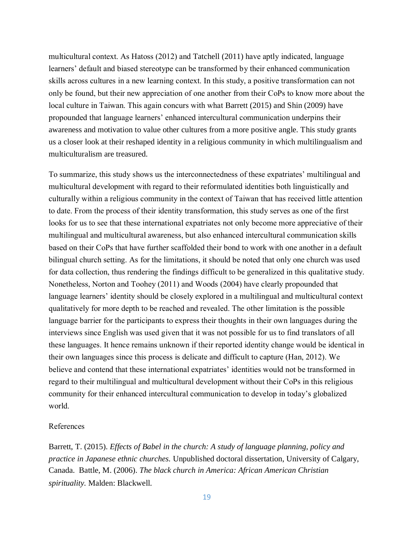multicultural context. As Hatoss (2012) and Tatchell (2011) have aptly indicated, language learners' default and biased stereotype can be transformed by their enhanced communication skills across cultures in a new learning context. In this study, a positive transformation can not only be found, but their new appreciation of one another from their CoPs to know more about the local culture in Taiwan. This again concurs with what Barrett (2015) and Shin (2009) have propounded that language learners' enhanced intercultural communication underpins their awareness and motivation to value other cultures from a more positive angle. This study grants us a closer look at their reshaped identity in a religious community in which multilingualism and multiculturalism are treasured.

To summarize, this study shows us the interconnectedness of these expatriates' multilingual and multicultural development with regard to their reformulated identities both linguistically and culturally within a religious community in the context of Taiwan that has received little attention to date. From the process of their identity transformation, this study serves as one of the first looks for us to see that these international expatriates not only become more appreciative of their multilingual and multicultural awareness, but also enhanced intercultural communication skills based on their CoPs that have further scaffolded their bond to work with one another in a default bilingual church setting. As for the limitations, it should be noted that only one church was used for data collection, thus rendering the findings difficult to be generalized in this qualitative study. Nonetheless, Norton and Toohey (2011) and Woods (2004) have clearly propounded that language learners' identity should be closely explored in a multilingual and multicultural context qualitatively for more depth to be reached and revealed. The other limitation is the possible language barrier for the participants to express their thoughts in their own languages during the interviews since English was used given that it was not possible for us to find translators of all these languages. It hence remains unknown if their reported identity change would be identical in their own languages since this process is delicate and difficult to capture (Han, 2012). We believe and contend that these international expatriates' identities would not be transformed in regard to their multilingual and multicultural development without their CoPs in this religious community for their enhanced intercultural communication to develop in today's globalized world.

#### References

Barrett, T. (2015). *Effects of Babel in the church: A study of language planning, policy and practice in Japanese ethnic churches.* Unpublished doctoral dissertation, University of Calgary, Canada. Battle, M. (2006). *The black church in America: African American Christian spirituality.* Malden: Blackwell.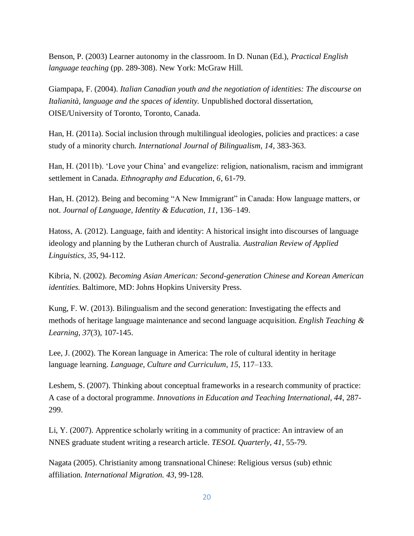Benson, P. (2003) Learner autonomy in the classroom. In D. Nunan (Ed.), *Practical English language teaching* (pp. 289-308). New York: McGraw Hill.

Giampapa, F. (2004). *Italian Canadian youth and the negotiation of identities: The discourse on Italianità, language and the spaces of identity.* Unpublished doctoral dissertation, OISE/University of Toronto, Toronto, Canada.

Han, H. (2011a). Social inclusion through multilingual ideologies, policies and practices: a case study of a minority church. *International Journal of Bilingualism, 14*, 383-363.

Han, H. (2011b). 'Love your China' and evangelize: religion, nationalism, racism and immigrant settlement in Canada. *Ethnography and Education, 6*, 61-79.

Han, H. (2012). Being and becoming "A New Immigrant" in Canada: How language matters, or not. *Journal of Language, Identity & Education, 11*, 136–149.

Hatoss, A. (2012). Language, faith and identity: A historical insight into discourses of language ideology and planning by the Lutheran church of Australia. *Australian Review of Applied Linguistics, 35*, 94-112.

Kibria, N. (2002). *Becoming Asian American: Second-generation Chinese and Korean American identities.* Baltimore, MD: Johns Hopkins University Press.

Kung, F. W. (2013). Bilingualism and the second generation: Investigating the effects and methods of heritage language maintenance and second language acquisition. *English Teaching & Learning, 37*(3), 107-145.

Lee, J. (2002). The Korean language in America: The role of cultural identity in heritage language learning. *Language, Culture and Curriculum, 15*, 117–133.

Leshem, S. (2007). Thinking about conceptual frameworks in a research community of practice: A case of a doctoral programme. *Innovations in Education and Teaching International, 44*, 287- 299.

Li, Y. (2007). Apprentice scholarly writing in a community of practice: An intraview of an NNES graduate student writing a research article. *TESOL Quarterly, 41*, 55-79.

Nagata (2005). Christianity among transnational Chinese: Religious versus (sub) ethnic affiliation. *International Migration. 43*, 99-128.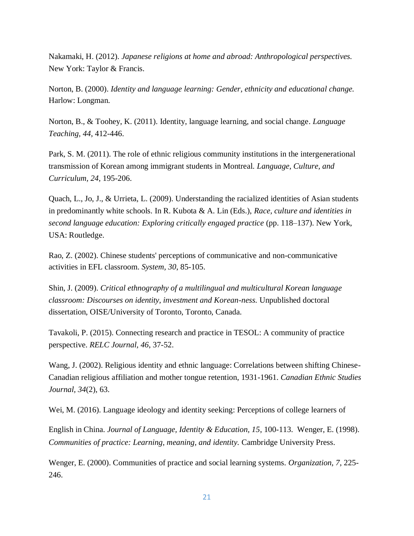Nakamaki, H. (2012). *Japanese religions at home and abroad: Anthropological perspectives.*  New York: Taylor & Francis.

Norton, B. (2000). *Identity and language learning: Gender, ethnicity and educational change.*  Harlow: Longman.

Norton, B., & Toohey, K. (2011). Identity, language learning, and social change. *Language Teaching, 44*, 412-446.

Park, S. M. (2011). The role of ethnic religious community institutions in the intergenerational transmission of Korean among immigrant students in Montreal. *Language, Culture, and Curriculum, 24*, 195-206.

Quach, L., Jo, J., & Urrieta, L. (2009). Understanding the racialized identities of Asian students in predominantly white schools. In R. Kubota & A. Lin (Eds.), *Race, culture and identities in second language education: Exploring critically engaged practice* (pp. 118–137). New York, USA: Routledge.

Rao, Z. (2002). Chinese students' perceptions of communicative and non-communicative activities in EFL classroom. *System, 30*, 85-105.

Shin, J. (2009). *Critical ethnography of a multilingual and multicultural Korean language classroom: Discourses on identity, investment and Korean-ness.* Unpublished doctoral dissertation, OISE/University of Toronto, Toronto, Canada.

Tavakoli, P. (2015). Connecting research and practice in TESOL: A community of practice perspective. *RELC Journal, 46*, 37-52.

Wang, J. (2002). Religious identity and ethnic language: Correlations between shifting Chinese-Canadian religious affiliation and mother tongue retention, 1931-1961. *Canadian Ethnic Studies Journal, 34*(2), 63.

Wei, M. (2016). Language ideology and identity seeking: Perceptions of college learners of

English in China. *Journal of Language, Identity & Education, 15*, 100-113. Wenger, E. (1998). *Communities of practice: Learning, meaning, and identity.* Cambridge University Press.

Wenger, E. (2000). Communities of practice and social learning systems. *Organization, 7*, 225- 246.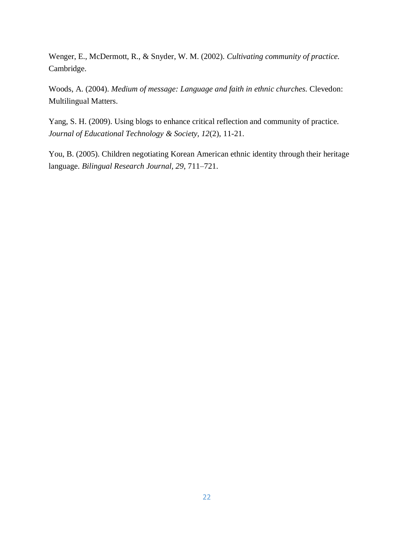Wenger, E., McDermott, R., & Snyder, W. M. (2002). *Cultivating community of practice.*  Cambridge.

Woods, A. (2004). *Medium of message: Language and faith in ethnic churches.* Clevedon: Multilingual Matters.

Yang, S. H. (2009). Using blogs to enhance critical reflection and community of practice. *Journal of Educational Technology & Society, 12*(2), 11-21.

You, B. (2005). Children negotiating Korean American ethnic identity through their heritage language. *Bilingual Research Journal, 29*, 711–721.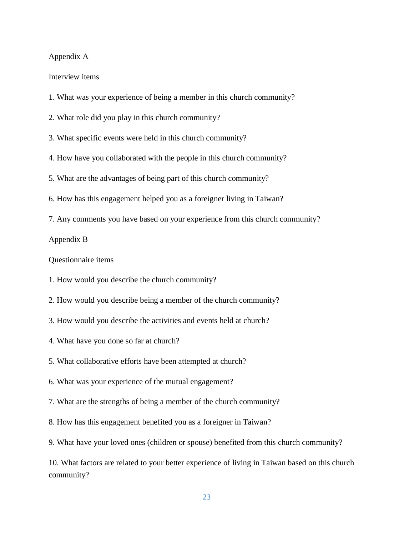#### Appendix A

Interview items

- 1. What was your experience of being a member in this church community?
- 2. What role did you play in this church community?
- 3. What specific events were held in this church community?
- 4. How have you collaborated with the people in this church community?
- 5. What are the advantages of being part of this church community?
- 6. How has this engagement helped you as a foreigner living in Taiwan?
- 7. Any comments you have based on your experience from this church community?

#### Appendix B

Questionnaire items

- 1. How would you describe the church community?
- 2. How would you describe being a member of the church community?
- 3. How would you describe the activities and events held at church?
- 4. What have you done so far at church?
- 5. What collaborative efforts have been attempted at church?
- 6. What was your experience of the mutual engagement?
- 7. What are the strengths of being a member of the church community?
- 8. How has this engagement benefited you as a foreigner in Taiwan?
- 9. What have your loved ones (children or spouse) benefited from this church community?

10. What factors are related to your better experience of living in Taiwan based on this church community?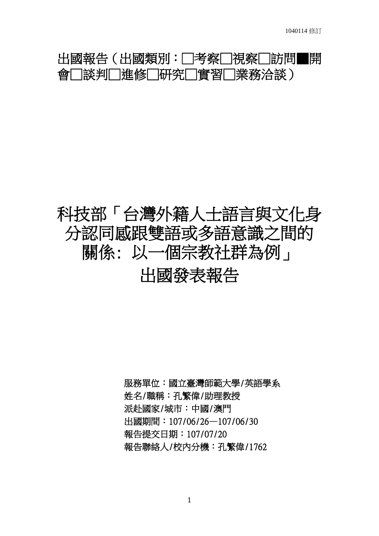# 出國報告(出國類別:□考察□視察□訪問■開 會□談判□進修□研究□實習□業務洽談)

# 科技部「台灣外籍人士語言與文化身 分認同感跟雙語或多語意識之間的 關係: 以一個宗教社群為例」 出國發表報告

服務單位:國立臺灣師範大學/英語學系 姓名/職稱:孔繁偉/助理教授 派赴國家/城市:中國/澳門 出國期間:107/06/26—107/06/30 報告提交日期:107/07/20 報告聯絡人/校內分機:孔繁偉/1762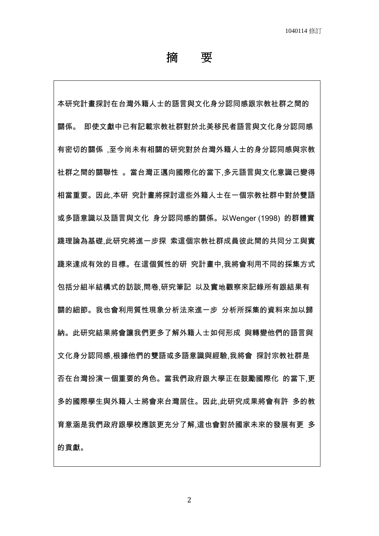摘 要

本研究計畫探討在台灣外籍人士的語言與文化身分認同感跟宗教社群之間的 關係。 即使文獻中已有記載宗教社群對於北美移民者語言與文化身分認同感 有密切的關係 ,至今尚未有相關的研究對於台灣外籍人士的身分認同感與宗教 社群之間的關聯性 。當台灣正邁向國際化的當下,多元語言與文化意識已變得 相當重要。因此,本研 究計畫將探討這些外籍人士在一個宗教社群中對於雙語 或多語意識以及語言與文化 身分認同感的關係。以Wenger (1998) 的群體實 踐理論為基礎,此研究將進一步探 索這個宗教社群成員彼此間的共同分工與實 踐來達成有效的目標。在這個質性的研 究計畫中,我將會利用不同的採集方式 包括分組半結構式的訪談,問卷,研究筆記 以及實地觀察來記錄所有跟結果有 關的細節。我也會利用質性現象分析法來進一步 分析所採集的資料來加以歸 納。此研究結果將會讓我們更多了解外籍人士如何形成 與轉變他們的語言與 文化身分認同感,根據他們的雙語或多語意識與經驗,我將會 探討宗教社群是 否在台灣扮演一個重要的角色。當我們政府跟大學正在鼓勵國際化 的當下,更 多的國際學生與外籍人士將會來台灣居住。因此,此研究成果將會有許 多的教 育意涵是我們政府跟學校應該更充分了解,這也會對於國家未來的發展有更 多 的貢獻。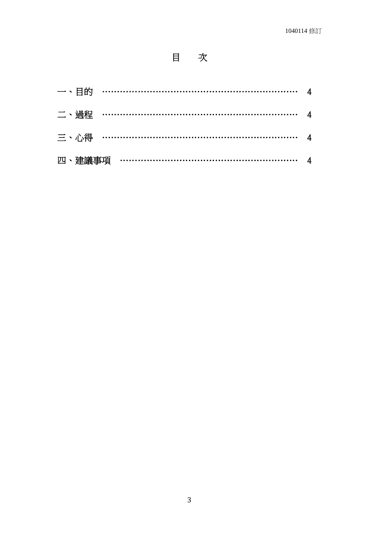# 目次

| 一、目的 ………………………………………………………… 4 |  |
|-------------------------------|--|
| 二、過程 ………………………………………………………… 4 |  |
| 三、心得 ………………………………………………………… 4 |  |
| 四、建議事項 …………………………………………………… 4 |  |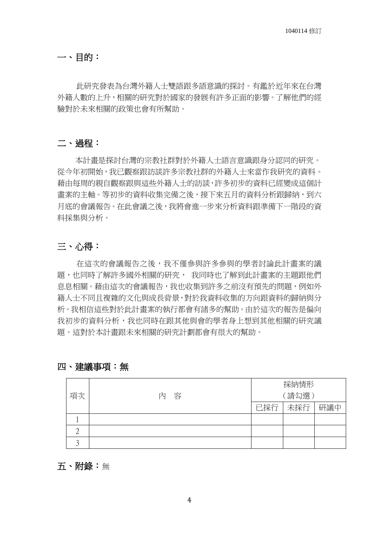一、目的:

 此研究發表為台灣外籍人士雙語跟多語意識的探討。有鑑於近年來在台灣 外籍人數的上升,相關的研究對於國家的發展有許多正面的影響。了解他們的經 驗對於未來相關的政策也會有所幫助。

#### 二、過程:

 本計畫是探討台灣的宗教社群對於外籍人士語言意識跟身分認同的研究。 從今年初開始,我已觀察跟訪談許多宗教社群的外籍人士來當作我研究的資料。 藉由每周的親自觀察跟與這些外籍人士的訪談,許多初步的資料已經變成這個計 書案的主軸。等初步的資料收集完備之後,接下來五月的資料分析跟歸納,到六 月底的會議報告。在此會議之後,我將會進一步來分析資料跟準備下一階段的資 料採集與分析。

#### 三、心得:

 在這次的會議報告之後,我不僅參與許多參與的學者討論此計畫案的議 題,也同時了解許多國外相關的研究, 我同時也了解到此計畫案的主題跟他們 息息相關。藉由這次的會議報告,我也收集到許多之前沒有預先的問題,例如外 籍人士不同且複雜的文化與成長背景,對於我資料收集的方向跟資料的歸納與分 析。我相信這些對於此計畫案的執行都會有諸多的幫助。由於這次的報告是偏向 我初步的資料分析,我也同時在跟其他與會的學者身上想到其他相關的研究議 題。這對於本計畫跟未來相關的研究計劃都會有很大的幫助。

|        |     | 採納情形  |     |     |  |
|--------|-----|-------|-----|-----|--|
| 項次     | 内 容 | (請勾選) |     |     |  |
|        |     | 已採行   | 未採行 | 研議中 |  |
|        |     |       |     |     |  |
|        |     |       |     |     |  |
| $\cap$ |     |       |     |     |  |

#### 四、建議事項:無

五、附錄:無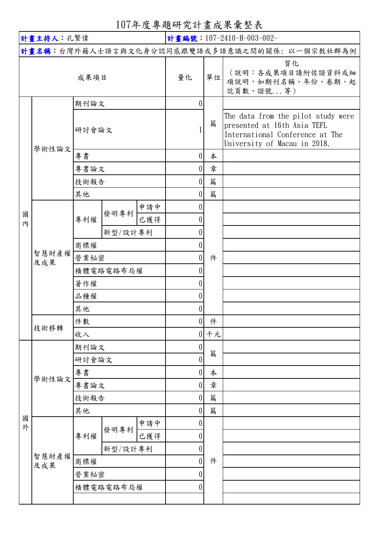107年度專題研究計畫成果彙整表

| 計畫主持人:孔繁偉 |              |         |           |     | 計畫編號: 107-2410-H-003-002-                    |    |                                                                                                                                      |  |
|-----------|--------------|---------|-----------|-----|----------------------------------------------|----|--------------------------------------------------------------------------------------------------------------------------------------|--|
|           |              |         |           |     | 計畫名稱:台灣外籍人士語言與文化身分認同感跟雙語或多語意識之間的關係:以一個宗教社群為例 |    |                                                                                                                                      |  |
| 成果項目      |              |         |           |     | 量化                                           | 單位 | 質化<br>(說明:各成果項目請附佐證資料或細<br>項說明,如期刊名稱、年份、卷期、起<br>訖頁數、證號等)                                                                             |  |
|           |              | 期刊論文    |           |     | $\theta$                                     |    |                                                                                                                                      |  |
|           | 學術性論文        | 研討會論文   |           |     |                                              | 篇  | The data from the pilot study were<br>presented at 16th Asia TEFL<br>International Conference at The<br>University of Macau in 2018. |  |
|           |              | 專書      |           |     | $\theta$                                     | 本  |                                                                                                                                      |  |
|           |              | 專書論文    |           |     | $\theta$                                     | 章  |                                                                                                                                      |  |
|           |              | 技術報告    |           |     | $\theta$                                     | 篇  |                                                                                                                                      |  |
|           |              | 其他      |           |     | $\left( \right)$                             | 篇  |                                                                                                                                      |  |
|           |              |         | 發明專利      | 申請中 | $\left( \right)$                             |    |                                                                                                                                      |  |
| 國<br>内    |              | 專利權     |           | 已獲得 |                                              |    |                                                                                                                                      |  |
|           |              |         | 新型/設計專利   |     | $\theta$                                     |    |                                                                                                                                      |  |
|           |              | 商標權     |           |     | $\theta$                                     |    |                                                                                                                                      |  |
|           | 智慧財產權<br>及成果 | 營業秘密    |           |     | $\theta$                                     | 件  |                                                                                                                                      |  |
|           |              |         | 積體電路電路布局權 |     | 0                                            |    |                                                                                                                                      |  |
|           |              | 著作權     |           |     |                                              |    |                                                                                                                                      |  |
|           |              | 品種權     |           |     | U                                            |    |                                                                                                                                      |  |
|           |              | 其他      |           |     | $\left( \right)$                             |    |                                                                                                                                      |  |
|           |              | 件數      |           |     | $\boldsymbol{0}$                             | 件  |                                                                                                                                      |  |
|           | 技術移轉         | 收入      |           |     | 0                                            | 千元 |                                                                                                                                      |  |
|           | 學術性論文        | 期刊論文    |           |     | $\boldsymbol{0}$                             |    |                                                                                                                                      |  |
|           |              | 研討會論文   |           |     | 0                                            | 篇  |                                                                                                                                      |  |
|           |              | 專書      |           |     | 0                                            | 本  |                                                                                                                                      |  |
|           |              | 專書論文    |           |     | $\theta$                                     | 章  |                                                                                                                                      |  |
|           |              | 技術報告    |           |     | $\theta$                                     | 篇  |                                                                                                                                      |  |
|           |              | 其他      |           |     | 0                                            | 篇  |                                                                                                                                      |  |
| 國<br>外    |              |         | 發明專利      | 申請中 | $\theta$                                     |    |                                                                                                                                      |  |
|           | 智慧財產權<br>及成果 | 專利權     |           | 已獲得 |                                              |    |                                                                                                                                      |  |
|           |              | 新型/設計專利 |           |     | $\boldsymbol{0}$                             |    |                                                                                                                                      |  |
|           |              | 商標權     |           |     | $\boldsymbol{0}$                             | 件  |                                                                                                                                      |  |
|           |              | 營業秘密    |           |     | 0                                            |    |                                                                                                                                      |  |
|           |              |         | 積體電路電路布局權 |     | 0                                            |    |                                                                                                                                      |  |
|           |              |         |           |     |                                              |    |                                                                                                                                      |  |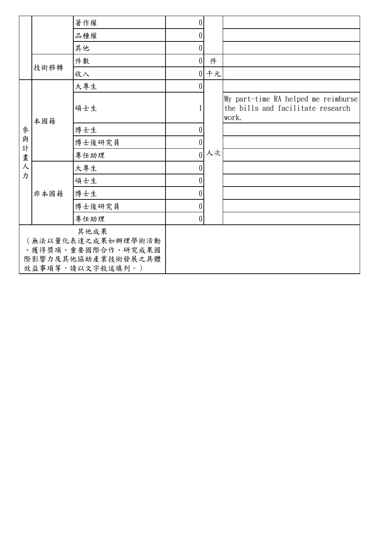|                                                                                            |      | 著作權    | $\theta$         |        |                                                                                   |
|--------------------------------------------------------------------------------------------|------|--------|------------------|--------|-----------------------------------------------------------------------------------|
|                                                                                            |      | 品種權    | $\theta$         |        |                                                                                   |
|                                                                                            |      | 其他     | $\overline{0}$   |        |                                                                                   |
|                                                                                            | 技術移轉 | 件數     | $\theta$         | 件      |                                                                                   |
|                                                                                            |      | 收入     |                  | $0$ 千元 |                                                                                   |
|                                                                                            |      | 大專生    | $\theta$         |        |                                                                                   |
|                                                                                            | 本國籍  | 碩士生    |                  | 人次     | My part-time RA helped me reimburse<br>the bills and facilitate research<br>work. |
| 參                                                                                          |      | 博士生    | 0                |        |                                                                                   |
| 與<br>計                                                                                     |      | 博士後研究員 | 0                |        |                                                                                   |
| 畫                                                                                          |      | 專任助理   | $\theta$         |        |                                                                                   |
| 人                                                                                          | 非本國籍 | 大專生    | $\theta$         |        |                                                                                   |
| 力                                                                                          |      | 碩士生    | $\boldsymbol{0}$ |        |                                                                                   |
|                                                                                            |      | 博士生    | 0                |        |                                                                                   |
|                                                                                            |      | 博士後研究員 | $\theta$         |        |                                                                                   |
|                                                                                            |      | 專任助理   | $\overline{0}$   |        |                                                                                   |
| 其他成果<br>(無法以量化表達之成果如辦理學術活動<br>、獲得獎項、重要國際合作、研究成果國<br>際影響力及其他協助產業技術發展之具體<br>效益事項等,請以文字敘述填列。) |      |        |                  |        |                                                                                   |